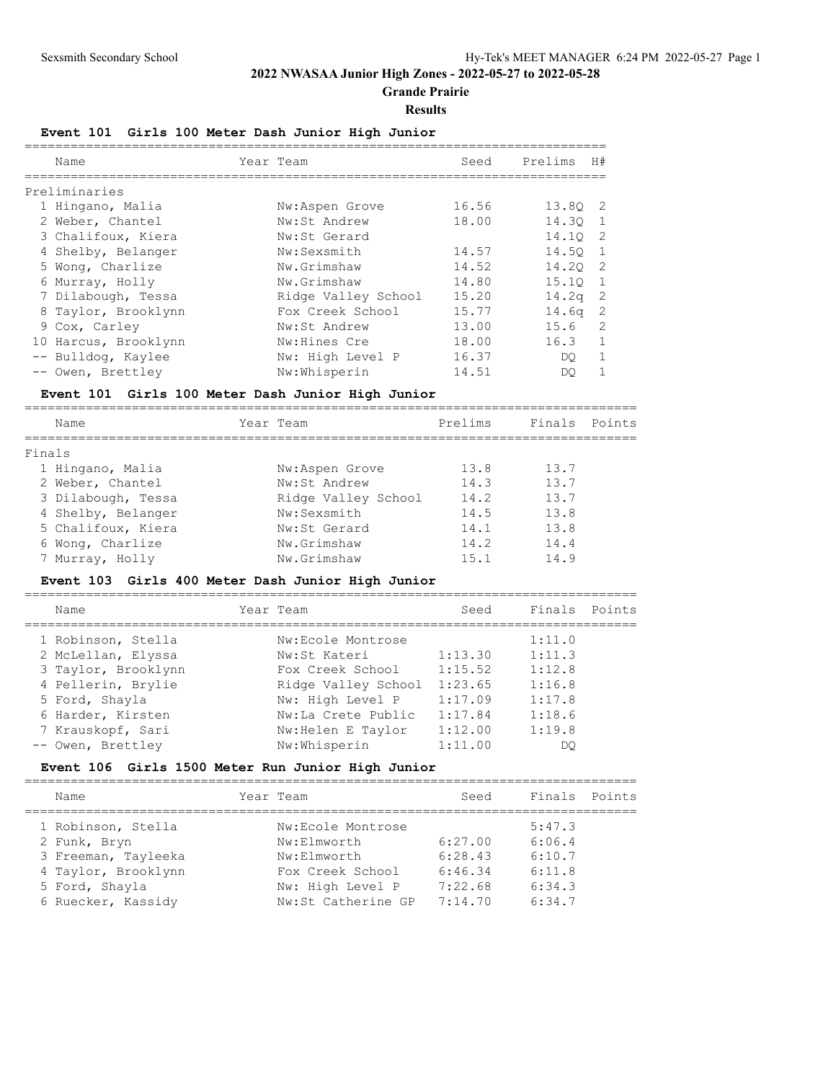**Grande Prairie**

#### **Results**

## **Event 101 Girls 100 Meter Dash Junior High Junior**

| Name                 | Year Team           | Seed  | Prelims           | H#             |
|----------------------|---------------------|-------|-------------------|----------------|
| Preliminaries        |                     |       |                   |                |
| 1 Hingano, Malia     | Nw:Aspen Grove      | 16.56 | 13.80 2           |                |
| 2 Weber, Chantel     | Nw:St Andrew        | 18.00 | 14.30             |                |
| 3 Chalifoux, Kiera   | Nw:St Gerard        |       | 14.10             | $\overline{2}$ |
| 4 Shelby, Belanger   | Nw:Sexsmith         | 14.57 | 14.50             |                |
| 5 Wong, Charlize     | Nw.Grimshaw         | 14.52 | 14.20 2           |                |
| 6 Murray, Holly      | Nw.Grimshaw         | 14.80 | 15.10             | $\overline{1}$ |
| 7 Dilabough, Tessa   | Ridge Valley School | 15.20 | 14.2 <sub>q</sub> | - 2            |
| 8 Taylor, Brooklynn  | Fox Creek School    | 15.77 | 14.6 <sub>q</sub> | - 2            |
| 9 Cox, Carley        | Nw:St Andrew        | 13.00 | 15.6              | $\mathcal{L}$  |
| 10 Harcus, Brooklynn | Nw:Hines Cre        | 18.00 | 16.3              | 1              |
| -- Bulldog, Kaylee   | Nw: High Level P    | 16.37 | DO.               |                |
| -- Owen, Brettley    | Nw:Whisperin        | 14.51 | DO.               |                |

## **Event 101 Girls 100 Meter Dash Junior High Junior**

| Name               | Year Team           | Prelims | Finals | Points |
|--------------------|---------------------|---------|--------|--------|
| Finals             |                     |         |        |        |
| 1 Hingano, Malia   | Nw:Aspen Grove      | 13.8    | 13.7   |        |
| 2 Weber, Chantel   | Nw:St Andrew        | 14.3    | 13.7   |        |
| 3 Dilabough, Tessa | Ridge Valley School | 14.2    | 13.7   |        |
| 4 Shelby, Belanger | Nw:Sexsmith         | 14.5    | 13.8   |        |
| 5 Chalifoux, Kiera | Nw:St Gerard        | 14.1    | 13.8   |        |
| 6 Wong, Charlize   | Nw.Grimshaw         | 14.2    | 14.4   |        |
| 7 Murray, Holly    | Nw.Grimshaw         | 15.1    | 14.9   |        |
|                    |                     |         |        |        |

## **Event 103 Girls 400 Meter Dash Junior High Junior**

| Name                | Year Team |                     | Seed    | Finals Points |  |
|---------------------|-----------|---------------------|---------|---------------|--|
| 1 Robinson, Stella  |           | Nw:Ecole Montrose   |         | 1:11.0        |  |
| 2 McLellan, Elyssa  |           | Nw:St Kateri        | 1:13.30 | 1:11.3        |  |
| 3 Taylor, Brooklynn |           | Fox Creek School    | 1:15.52 | 1:12.8        |  |
| 4 Pellerin, Brylie  |           | Ridge Valley School | 1:23.65 | 1:16.8        |  |
| 5 Ford, Shayla      |           | Nw: High Level P    | 1:17.09 | 1:17.8        |  |
| 6 Harder, Kirsten   |           | Nw:La Crete Public  | 1:17.84 | 1:18.6        |  |
| 7 Krauskopf, Sari   |           | Nw: Helen E Taylor  | 1:12.00 | 1:19.8        |  |
| -- Owen, Brettley   |           | Nw:Whisperin        | 1:11.00 | DO            |  |
|                     |           |                     |         |               |  |

### **Event 106 Girls 1500 Meter Run Junior High Junior**

| Name                | Year Team          | Seed    | Finals | Points |
|---------------------|--------------------|---------|--------|--------|
| 1 Robinson, Stella  | Nw:Ecole Montrose  |         | 5:47.3 |        |
| 2 Funk, Bryn        | Nw:Elmworth        | 6:27.00 | 6:06.4 |        |
| 3 Freeman, Tayleeka | Nw:Elmworth        | 6:28.43 | 6:10.7 |        |
| 4 Taylor, Brooklynn | Fox Creek School   | 6:46.34 | 6:11.8 |        |
| 5 Ford, Shayla      | Nw: High Level P   | 7:22.68 | 6:34.3 |        |
| 6 Ruecker, Kassidy  | Nw:St Catherine GP | 7:14.70 | 6:34.7 |        |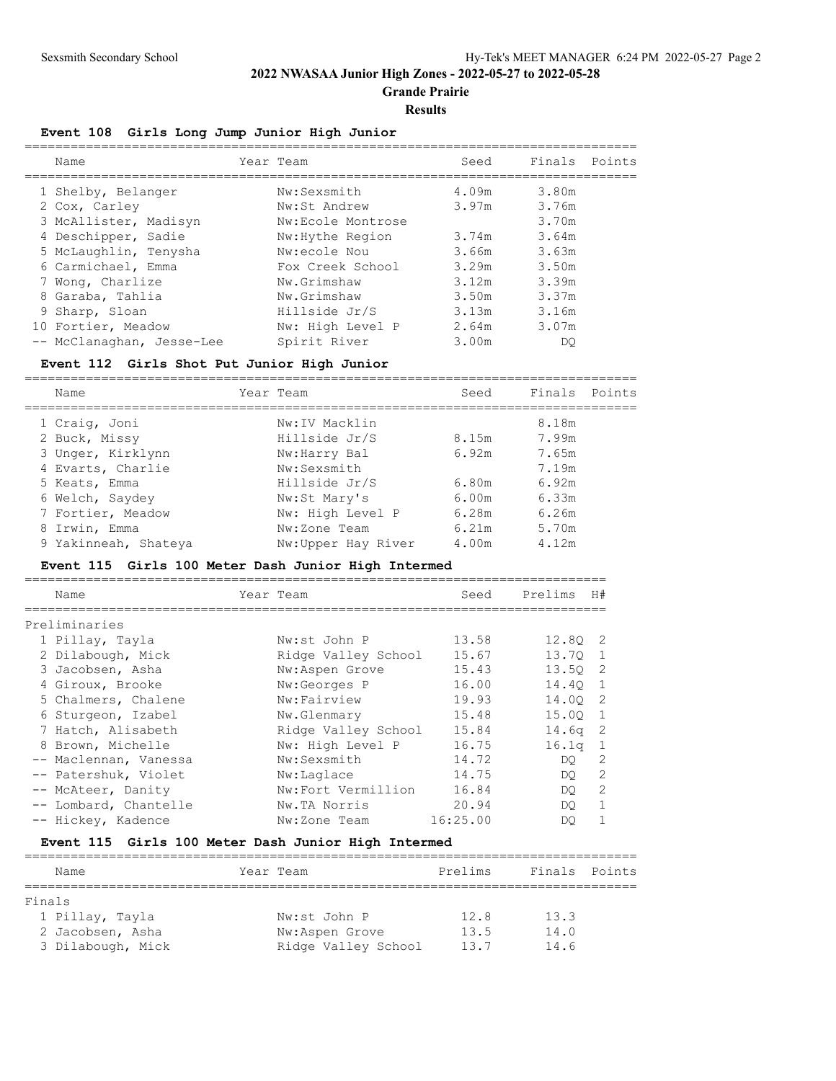**Grande Prairie**

#### **Results**

## **Event 108 Girls Long Jump Junior High Junior**

| Name                      | Year Team         | Seed  | Finals | Points |
|---------------------------|-------------------|-------|--------|--------|
| 1 Shelby, Belanger        | Nw:Sexsmith       | 4.09m | 3.80m  |        |
| 2 Cox, Carley             | Nw:St Andrew      | 3.97m | 3.76m  |        |
| 3 McAllister, Madisyn     | Nw:Ecole Montrose |       | 3.70m  |        |
| 4 Deschipper, Sadie       | Nw: Hythe Region  | 3.74m | 3.64m  |        |
| 5 McLaughlin, Tenysha     | Nw:ecole Nou      | 3.66m | 3.63m  |        |
| 6 Carmichael, Emma        | Fox Creek School  | 3.29m | 3.50m  |        |
| 7 Wong, Charlize          | Nw.Grimshaw       | 3.12m | 3.39m  |        |
| 8 Garaba, Tahlia          | Nw.Grimshaw       | 3.50m | 3.37m  |        |
| 9 Sharp, Sloan            | Hillside Jr/S     | 3.13m | 3.16m  |        |
| 10 Fortier, Meadow        | Nw: High Level P  | 2.64m | 3.07m  |        |
| -- McClanaghan, Jesse-Lee | Spirit River      | 3.00m | DO     |        |

### **Event 112 Girls Shot Put Junior High Junior**

================================================================================

| Name                 | Year Team          | Seed  | Finals Points |  |
|----------------------|--------------------|-------|---------------|--|
| 1 Craig, Joni        | Nw: IV Macklin     |       | 8.18m         |  |
| 2 Buck, Missy        | Hillside Jr/S      | 8.15m | 7.99m         |  |
| 3 Unger, Kirklynn    | Nw:Harry Bal       | 6.92m | 7.65m         |  |
| 4 Evarts, Charlie    | Nw:Sexsmith        |       | 7.19m         |  |
| 5 Keats, Emma        | Hillside Jr/S      | 6.80m | 6.92m         |  |
| 6 Welch, Saydey      | Nw:St Mary's       | 6.00m | 6.33m         |  |
| 7 Fortier, Meadow    | Nw: High Level P   | 6.28m | 6.26m         |  |
| 8 Irwin, Emma        | Nw:Zone Team       | 6.21m | 5.70m         |  |
| 9 Yakinneah, Shateya | Nw:Upper Hay River | 4.00m | 4.12m         |  |

#### **Event 115 Girls 100 Meter Dash Junior High Intermed**

| Name                  | Year Team           | Seed     | Prelims   | H#           |
|-----------------------|---------------------|----------|-----------|--------------|
| Preliminaries         |                     |          |           |              |
| 1 Pillay, Tayla       | Nw:st John P        | 13.58    | 12.80 2   |              |
| 2 Dilabough, Mick     | Ridge Valley School | 15.67    | 13.70 1   |              |
| 3 Jacobsen, Asha      | Nw:Aspen Grove      | 15.43    | 13.50 2   |              |
| 4 Giroux, Brooke      | Nw:Georges P        | 16.00    | 14.40 1   |              |
| 5 Chalmers, Chalene   | Nw:Fairview         | 19.93    | 14.00 2   |              |
| 6 Sturgeon, Izabel    | Nw.Glenmary         | 15.48    | 15.00 1   |              |
| 7 Hatch, Alisabeth    | Ridge Valley School | 15.84    | $14.6q$ 2 |              |
| 8 Brown, Michelle     | Nw: High Level P    | 16.75    | $16.1q$ 1 |              |
| -- Maclennan, Vanessa | Nw:Sexsmith         | 14.72    | DO        | 2            |
| -- Patershuk, Violet  | Nw:Laglace          | 14.75    | DO        | 2            |
| -- McAteer, Danity    | Nw:Fort Vermillion  | 16.84    | DO        | 2            |
| -- Lombard, Chantelle | Nw.TA Norris        | 20.94    | DO        | $\mathbf{1}$ |
| -- Hickey, Kadence    | Nw:Zone Team        | 16:25.00 | DO        | $\mathbf{1}$ |

# **Event 115 Girls 100 Meter Dash Junior High Intermed**

| Name              | Year Team           | Prelims | Finals Points |  |  |  |  |
|-------------------|---------------------|---------|---------------|--|--|--|--|
|                   |                     |         |               |  |  |  |  |
| Finals            |                     |         |               |  |  |  |  |
| 1 Pillay, Tayla   | Nw:st John P        | 12.8    | 13.3          |  |  |  |  |
| 2 Jacobsen, Asha  | Nw:Aspen Grove      | 13.5    | 14.0          |  |  |  |  |
| 3 Dilabough, Mick | Ridge Valley School | 13.7    | 14.6          |  |  |  |  |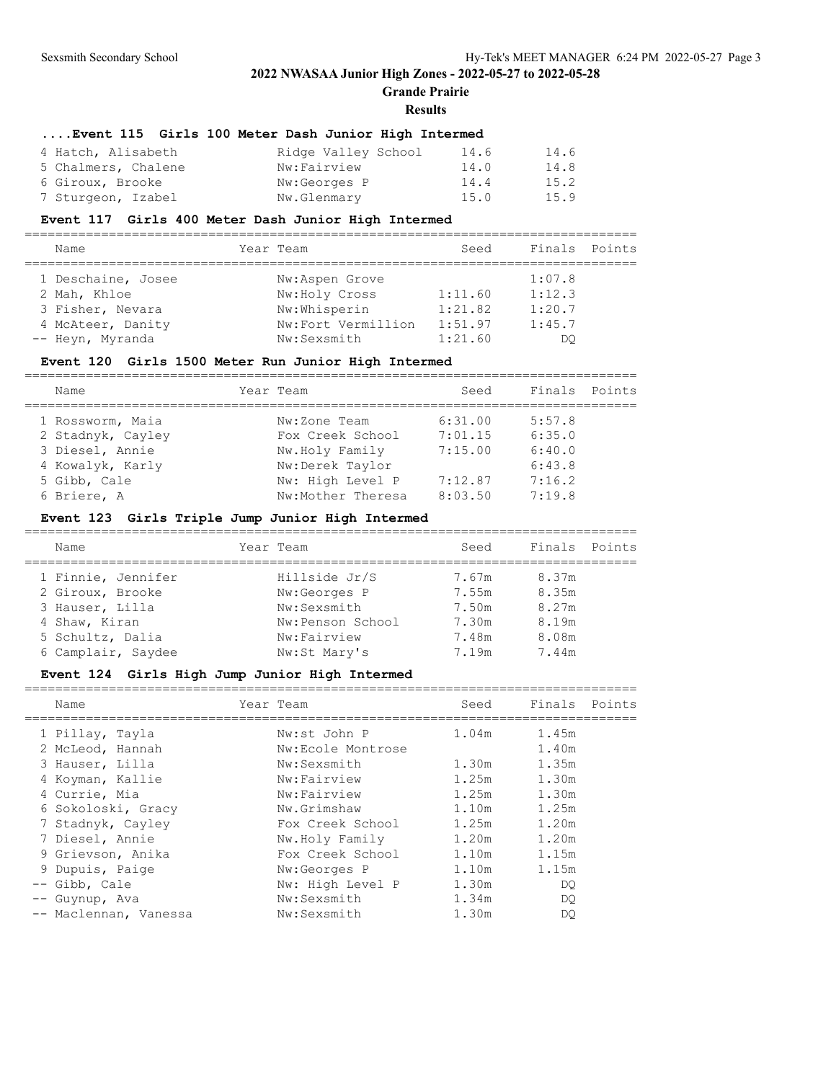**Grande Prairie**

#### **Results**

## **....Event 115 Girls 100 Meter Dash Junior High Intermed**

| 4 Hatch, Alisabeth  | Ridge Valley School | 14.6 | 14.6 |
|---------------------|---------------------|------|------|
| 5 Chalmers, Chalene | Nw:Fairview         | 14.0 | 14.8 |
| 6 Giroux, Brooke    | Nw:Georges P        | 14.4 | 15.2 |
| 7 Sturgeon, Izabel  | Nw.Glenmary         | 15.0 | 15.9 |

## **Event 117 Girls 400 Meter Dash Junior High Intermed**

| Name               | Year Team          | Seed    | Finals Points |  |
|--------------------|--------------------|---------|---------------|--|
| 1 Deschaine, Josee | Nw:Aspen Grove     |         | 1:07.8        |  |
| 2 Mah, Khloe       | Nw:Holy Cross      | 1:11.60 | 1:12.3        |  |
| 3 Fisher, Nevara   | Nw:Whisperin       | 1:21.82 | 1:20.7        |  |
| 4 McAteer, Danity  | Nw:Fort Vermillion | 1:51.97 | 1:45.7        |  |
| -- Heyn, Myranda   | Nw:Sexsmith        | 1:21.60 | DO            |  |

## **Event 120 Girls 1500 Meter Run Junior High Intermed**

| Name              | Year Team         | Seed    | Finals | Points |
|-------------------|-------------------|---------|--------|--------|
| 1 Rossworm, Maia  | Nw:Zone Team      | 6:31.00 | 5:57.8 |        |
| 2 Stadnyk, Cayley | Fox Creek School  | 7:01.15 | 6:35.0 |        |
| 3 Diesel, Annie   | Nw.Holy Family    | 7:15.00 | 6:40.0 |        |
| 4 Kowalyk, Karly  | Nw:Derek Taylor   |         | 6:43.8 |        |
| 5 Gibb, Cale      | Nw: High Level P  | 7:12.87 | 7:16.2 |        |
| 6 Briere, A       | Nw:Mother Theresa | 8:03.50 | 7:19.8 |        |
|                   |                   |         |        |        |

## **Event 123 Girls Triple Jump Junior High Intermed**

| Name               | Year Team        | Seed  | Finals Points |  |
|--------------------|------------------|-------|---------------|--|
| 1 Finnie, Jennifer | Hillside Jr/S    | 7.67m | 8.37m         |  |
| 2 Giroux, Brooke   | Nw:Georges P     | 7.55m | 8.35m         |  |
| 3 Hauser, Lilla    | Nw:Sexsmith      | 7.50m | 8.27m         |  |
| 4 Shaw, Kiran      | Nw:Penson School | 7.30m | 8.19m         |  |
| 5 Schultz, Dalia   | Nw:Fairview      | 7.48m | 8.08m         |  |
| 6 Camplair, Saydee | Nw:St Mary's     | 7.19m | 7.44m         |  |

================================================================================

# **Event 124 Girls High Jump Junior High Intermed**

| Name                  | Year Team         | Seed  | Finals<br>Points |
|-----------------------|-------------------|-------|------------------|
| 1 Pillay, Tayla       | Nw:st John P      | 1.04m | 1.45m            |
| 2 McLeod, Hannah      | Nw:Ecole Montrose |       | 1.40m            |
| 3 Hauser, Lilla       | Nw:Sexsmith       | 1.30m | 1.35m            |
| 4 Koyman, Kallie      | Nw:Fairview       | 1.25m | 1.30m            |
| 4 Currie, Mia         | Nw:Fairview       | 1.25m | 1.30m            |
| 6 Sokoloski, Gracy    | Nw.Grimshaw       | 1.10m | 1.25m            |
| 7 Stadnyk, Cayley     | Fox Creek School  | 1.25m | 1.20m            |
| 7 Diesel, Annie       | Nw.Holy Family    | 1.20m | 1.20m            |
| 9 Grievson, Anika     | Fox Creek School  | 1.10m | 1.15m            |
| 9 Dupuis, Paige       | Nw:Georges P      | 1.10m | 1.15m            |
| Gibb, Cale            | Nw: High Level P  | 1.30m | DO.              |
| Guynup, Ava           | Nw:Sexsmith       | 1.34m | DO.              |
| -- Maclennan, Vanessa | Nw:Sexsmith       | 1.30m | DO               |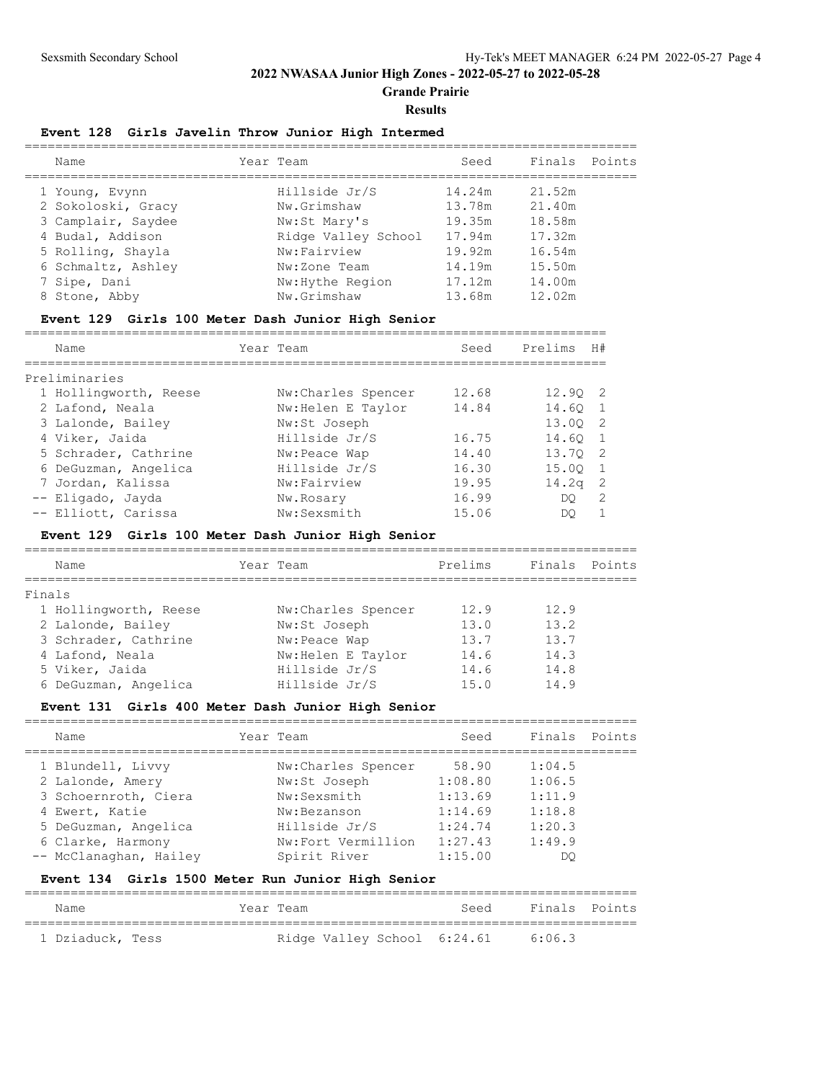**Grande Prairie**

**Results**

# **Event 128 Girls Javelin Throw Junior High Intermed**

| Name               | Year Team           | Seed   | Finals Points |  |
|--------------------|---------------------|--------|---------------|--|
| 1 Young, Evynn     | Hillside Jr/S       | 14.24m | 21.52m        |  |
| 2 Sokoloski, Gracy | Nw.Grimshaw         | 13.78m | 21.40m        |  |
| 3 Camplair, Saydee | Nw:St Mary's        | 19.35m | 18.58m        |  |
| 4 Budal, Addison   | Ridge Valley School | 17.94m | 17.32m        |  |
| 5 Rolling, Shayla  | Nw:Fairview         | 19.92m | 16.54m        |  |
| 6 Schmaltz, Ashley | Nw:Zone Team        | 14.19m | 15.50m        |  |
| 7 Sipe, Dani       | Nw: Hythe Region    | 17.12m | 14.00m        |  |
| 8 Stone, Abby      | Nw.Grimshaw         | 13.68m | 12.02m        |  |
|                    |                     |        |               |  |

### **Event 129 Girls 100 Meter Dash Junior High Senior**

============================================================================

| Name                  | Year Team           | Seed  | Prelims           | H#             |
|-----------------------|---------------------|-------|-------------------|----------------|
| Preliminaries         |                     |       |                   |                |
| 1 Hollingworth, Reese | Nw: Charles Spencer | 12.68 | 12.90 2           |                |
| 2 Lafond, Neala       | Nw: Helen E Taylor  | 14.84 | 14.60 1           |                |
| 3 Lalonde, Bailey     | Nw:St Joseph        |       | 13.00 2           |                |
| 4 Viker, Jaida        | Hillside Jr/S       | 16.75 | 14.60             | $\overline{1}$ |
| 5 Schrader, Cathrine  | Nw:Peace Wap        | 14.40 | 13.70             | $\overline{2}$ |
| 6 DeGuzman, Angelica  | Hillside Jr/S       | 16.30 | 15.00             | $\overline{1}$ |
| 7 Jordan, Kalissa     | Nw:Fairview         | 19.95 | 14.2 <sub>q</sub> | $\overline{2}$ |
| -- Eligado, Jayda     | Nw.Rosary           | 16.99 | DO.               | - 2            |
| -- Elliott, Carissa   | Nw:Sexsmith         | 15.06 | DO.               |                |

#### **Event 129 Girls 100 Meter Dash Junior High Senior**

| Name                  | Year Team          | Prelims | Finals Points |  |
|-----------------------|--------------------|---------|---------------|--|
| Finals                |                    |         |               |  |
| 1 Hollingworth, Reese | Nw:Charles Spencer | 12.9    | 12.9          |  |
| 2 Lalonde, Bailey     | Nw:St Joseph       | 13.0    | 13.2          |  |
| 3 Schrader, Cathrine  | Nw:Peace Wap       | 13.7    | 13.7          |  |
| 4 Lafond, Neala       | Nw: Helen E Taylor | 14.6    | 14.3          |  |
| 5 Viker, Jaida        | Hillside Jr/S      | 14.6    | 14.8          |  |
| 6 DeGuzman, Angelica  | Hillside Jr/S      | 15.0    | 14.9          |  |

## **Event 131 Girls 400 Meter Dash Junior High Senior**

| Name                   | Year Team           | Seed    | Finals | Points |
|------------------------|---------------------|---------|--------|--------|
| 1 Blundell, Livvy      | Nw: Charles Spencer | 58.90   | 1:04.5 |        |
| 2 Lalonde, Amery       | Nw:St Joseph        | 1:08.80 | 1:06.5 |        |
| 3 Schoernroth, Ciera   | Nw:Sexsmith         | 1:13.69 | 1:11.9 |        |
| 4 Ewert, Katie         | Nw:Bezanson         | 1:14.69 | 1:18.8 |        |
| 5 DeGuzman, Angelica   | Hillside Jr/S       | 1:24.74 | 1:20.3 |        |
| 6 Clarke, Harmony      | Nw:Fort Vermillion  | 1:27.43 | 1:49.9 |        |
| -- McClanaghan, Hailey | Spirit River        | 1:15.00 | DO     |        |

## **Event 134 Girls 1500 Meter Run Junior High Senior**

| Name             | Year Team | Seed                        | Finals Points |  |
|------------------|-----------|-----------------------------|---------------|--|
| 1 Dziaduck, Tess |           | Ridge Valley School 6:24.61 | 6:06.3        |  |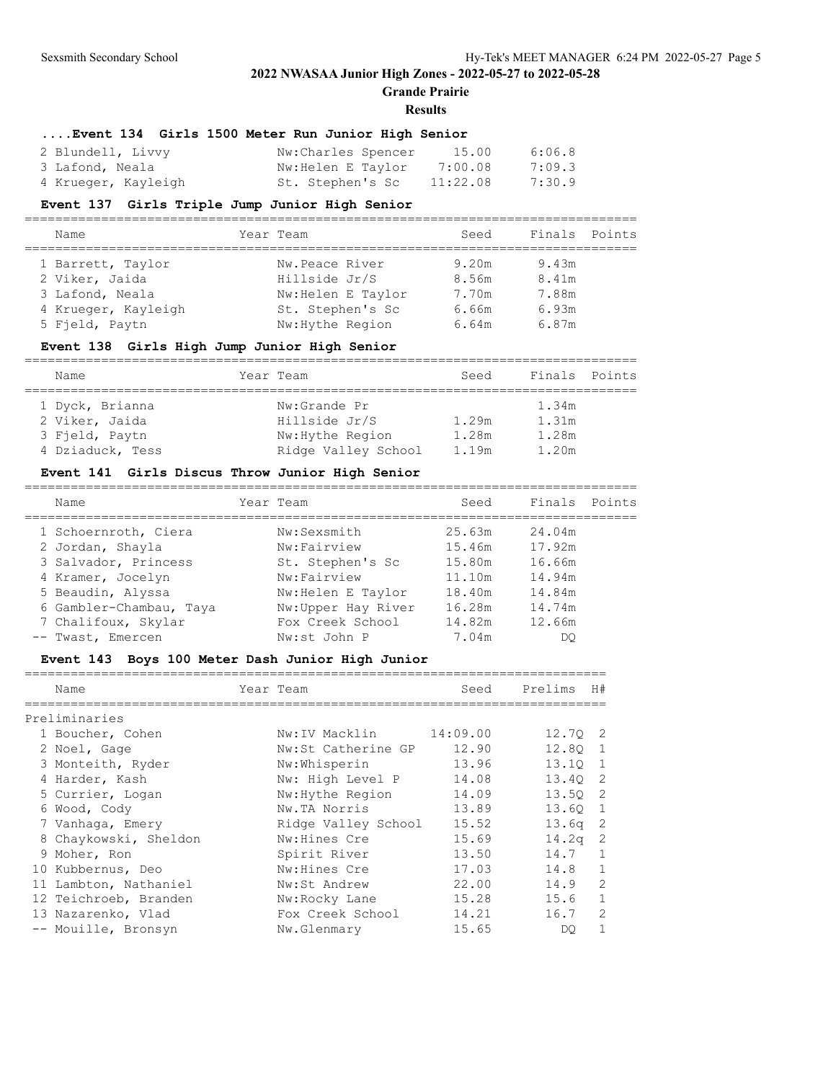**Grande Prairie**

#### **Results**

## **....Event 134 Girls 1500 Meter Run Junior High Senior**

| 2 Blundell, Livvy   | Nw:Charles Spencer | 15.00    | 6:06.8 |
|---------------------|--------------------|----------|--------|
| 3 Lafond, Neala     | Nw:Helen E Taylor  | 7:00.08  | 7:09.3 |
| 4 Krueger, Kayleigh | St. Stephen's Sc   | 11:22.08 | 7:30.9 |

#### **Event 137 Girls Triple Jump Junior High Senior**

| Name                                                                          | Year Team                                                                 | Seed                             | Finals Points                    |  |
|-------------------------------------------------------------------------------|---------------------------------------------------------------------------|----------------------------------|----------------------------------|--|
| 1 Barrett, Taylor<br>2 Viker, Jaida<br>3 Lafond, Neala<br>4 Krueger, Kayleigh | Nw.Peace River<br>Hillside Jr/S<br>Nw: Helen E Taylor<br>St. Stephen's Sc | 9.20m<br>8.56m<br>7.70m<br>6.66m | 9.43m<br>8.41m<br>7.88m<br>6.93m |  |
| 5 Fjeld, Paytn                                                                | Nw: Hythe Region                                                          | 6.64m                            | 6.87m                            |  |

## **Event 138 Girls High Jump Junior High Senior**

| Name             | Year Team           | Seed  | Finals Points |  |
|------------------|---------------------|-------|---------------|--|
| 1 Dyck, Brianna  | Nw:Grande Pr        |       | 1.34m         |  |
| 2 Viker, Jaida   | Hillside Jr/S       | 1.29m | 1.31m         |  |
| 3 Field, Paytn   | Nw: Hythe Region    | 1.28m | 1.28m         |  |
| 4 Dziaduck, Tess | Ridge Valley School | 1.19m | 1.20m         |  |

## **Event 141 Girls Discus Throw Junior High Senior**

| Name                    | Year Team          | Seed   | Finals Points |  |
|-------------------------|--------------------|--------|---------------|--|
| 1 Schoernroth, Ciera    | Nw:Sexsmith        | 25.63m | 24.04m        |  |
| 2 Jordan, Shayla        | Nw:Fairview        | 15.46m | 17.92m        |  |
| 3 Salvador, Princess    | St. Stephen's Sc   | 15.80m | 16.66m        |  |
| 4 Kramer, Jocelyn       | Nw:Fairview        | 11.10m | 14.94m        |  |
| 5 Beaudin, Alyssa       | Nw: Helen E Taylor | 18.40m | 14.84m        |  |
| 6 Gambler-Chambau, Taya | Nw:Upper Hay River | 16.28m | 14.74m        |  |
| 7 Chalifoux, Skylar     | Fox Creek School   | 14.82m | 12.66m        |  |
| -- Twast, Emercen       | Nw:st John P       | 7.04m  | DO            |  |

### **Event 143 Boys 100 Meter Dash Junior High Junior**

| Name                  | Year Team           | Seed     | Prelims            | H#             |
|-----------------------|---------------------|----------|--------------------|----------------|
| Preliminaries         |                     |          |                    |                |
| 1 Boucher, Cohen      | Nw:IV Macklin       | 14:09.00 | 12.70 2            |                |
| 2 Noel, Gage          | Nw:St Catherine GP  | 12.90    | 12.80 1            |                |
| 3 Monteith, Ryder     | Nw:Whisperin        | 13.96    | 13.10 1            |                |
| 4 Harder, Kash        | Nw: High Level P    | 14.08    | 13.40 2            |                |
| 5 Currier, Logan      | Nw: Hythe Region    | 14.09    | 13.50 2            |                |
| 6 Wood, Cody          | Nw.TA Norris        | 13.89    | 13.60 1            |                |
| 7 Vanhaqa, Emery      | Ridge Valley School | 15.52    | 13.6q <sub>2</sub> |                |
| 8 Chaykowski, Sheldon | Nw:Hines Cre        | 15.69    | 14.2 <sub>q</sub>  | $\overline{c}$ |
| 9 Moher, Ron          | Spirit River        | 13.50    | 14.7               | $\mathbf{1}$   |
| 10 Kubbernus, Deo     | Nw: Hines Cre       | 17.03    | 14.8               | $\mathbf{1}$   |
| 11 Lambton, Nathaniel | Nw:St Andrew        | 22.00    | 14.9               | $\overline{2}$ |
| 12 Teichroeb, Branden | Nw:Rocky Lane       | 15.28    | 15.6               | $\mathbf{1}$   |
| 13 Nazarenko, Vlad    | Fox Creek School    | 14.21    | 16.7               | $\overline{c}$ |
| -- Mouille, Bronsyn   | Nw.Glenmary         | 15.65    | DO                 | 1              |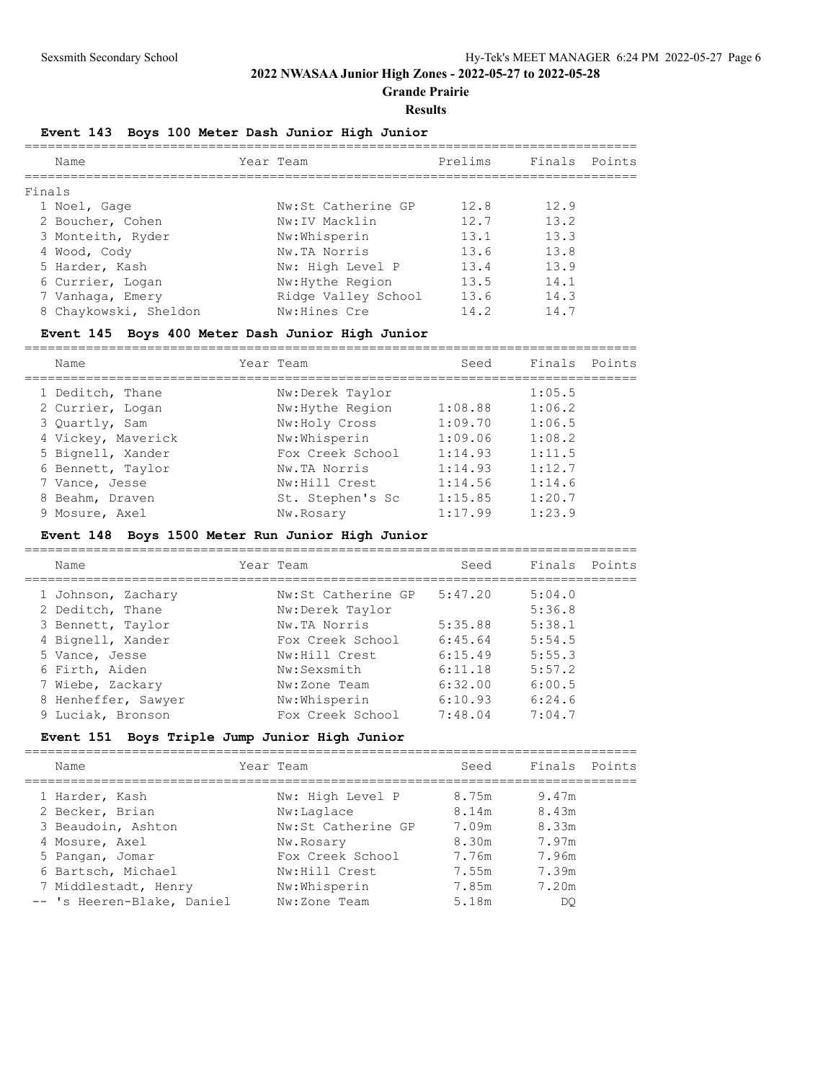**Grande Prairie**

#### **Results**

## **Event 143 Boys 100 Meter Dash Junior High Junior**

| Name                  | Year Team           | Prelims | Finals Points |  |
|-----------------------|---------------------|---------|---------------|--|
| Finals                |                     |         |               |  |
| 1 Noel, Gage          | Nw:St Catherine GP  | 12.8    | 12.9          |  |
| 2 Boucher, Cohen      | Nw:IV Macklin       | 12.7    | 13.2          |  |
| 3 Monteith, Ryder     | Nw:Whisperin        | 13.1    | 13.3          |  |
| 4 Wood, Cody          | Nw.TA Norris        | 13.6    | 13.8          |  |
| 5 Harder, Kash        | Nw: High Level P    | 13.4    | 13.9          |  |
| 6 Currier, Logan      | Nw: Hythe Region    | 13.5    | 14.1          |  |
| 7 Vanhaqa, Emery      | Ridge Valley School | 13.6    | 14.3          |  |
| 8 Chaykowski, Sheldon | Nw: Hines Cre       | 14.2    | 14.7          |  |
|                       |                     |         |               |  |

## **Event 145 Boys 400 Meter Dash Junior High Junior**

| Name               | Year Team        | Seed    | Finals | Points |
|--------------------|------------------|---------|--------|--------|
| 1 Deditch, Thane   | Nw:Derek Taylor  |         | 1:05.5 |        |
| 2 Currier, Logan   | Nw: Hythe Region | 1:08.88 | 1:06.2 |        |
| 3 Quartly, Sam     | Nw:Holy Cross    | 1:09.70 | 1:06.5 |        |
| 4 Vickey, Maverick | Nw:Whisperin     | 1:09.06 | 1:08.2 |        |
| 5 Bignell, Xander  | Fox Creek School | 1:14.93 | 1:11.5 |        |
| 6 Bennett, Taylor  | Nw.TA Norris     | 1:14.93 | 1:12.7 |        |
| 7 Vance, Jesse     | Nw:Hill Crest    | 1:14.56 | 1:14.6 |        |
| 8 Beahm, Draven    | St. Stephen's Sc | 1:15.85 | 1:20.7 |        |
| 9 Mosure, Axel     | Nw.Rosary        | 1:17.99 | 1:23.9 |        |
|                    |                  |         |        |        |

## **Event 148 Boys 1500 Meter Run Junior High Junior**

| Name                | Year Team          | Seed    | Finals | Points |
|---------------------|--------------------|---------|--------|--------|
| 1 Johnson, Zachary  | Nw:St Catherine GP | 5:47.20 | 5:04.0 |        |
| 2 Deditch, Thane    | Nw:Derek Taylor    |         | 5:36.8 |        |
| 3 Bennett, Taylor   | Nw.TA Norris       | 5:35.88 | 5:38.1 |        |
| 4 Bignell, Xander   | Fox Creek School   | 6:45.64 | 5:54.5 |        |
| 5 Vance, Jesse      | Nw:Hill Crest      | 6:15.49 | 5:55.3 |        |
| 6 Firth, Aiden      | Nw:Sexsmith        | 6:11.18 | 5:57.2 |        |
| 7 Wiebe, Zackary    | Nw:Zone Team       | 6:32.00 | 6:00.5 |        |
| 8 Henheffer, Sawyer | Nw:Whisperin       | 6:10.93 | 6:24.6 |        |
| 9 Luciak, Bronson   | Fox Creek School   | 7:48.04 | 7:04.7 |        |
|                     |                    |         |        |        |

## **Event 151 Boys Triple Jump Junior High Junior**

| Name                                                                                                               | Year Team                                                                                              | Seed                                               | Finals Points                                      |  |
|--------------------------------------------------------------------------------------------------------------------|--------------------------------------------------------------------------------------------------------|----------------------------------------------------|----------------------------------------------------|--|
| 1 Harder, Kash<br>2 Becker, Brian<br>3 Beaudoin, Ashton<br>4 Mosure, Axel<br>5 Pangan, Jomar<br>6 Bartsch, Michael | Nw: High Level P<br>Nw:Laglace<br>Nw:St Catherine GP<br>Nw.Rosary<br>Fox Creek School<br>Nw:Hill Crest | 8.75m<br>8.14m<br>7.09m<br>8.30m<br>7.76m<br>7.55m | 9.47m<br>8.43m<br>8.33m<br>7.97m<br>7.96m<br>7.39m |  |
| 7 Middlestadt, Henry<br>-- 's Heeren-Blake, Daniel                                                                 | Nw:Whisperin<br>Nw:Zone Team                                                                           | 7.85m<br>5.18m                                     | 7.20m<br>DO.                                       |  |
|                                                                                                                    |                                                                                                        |                                                    |                                                    |  |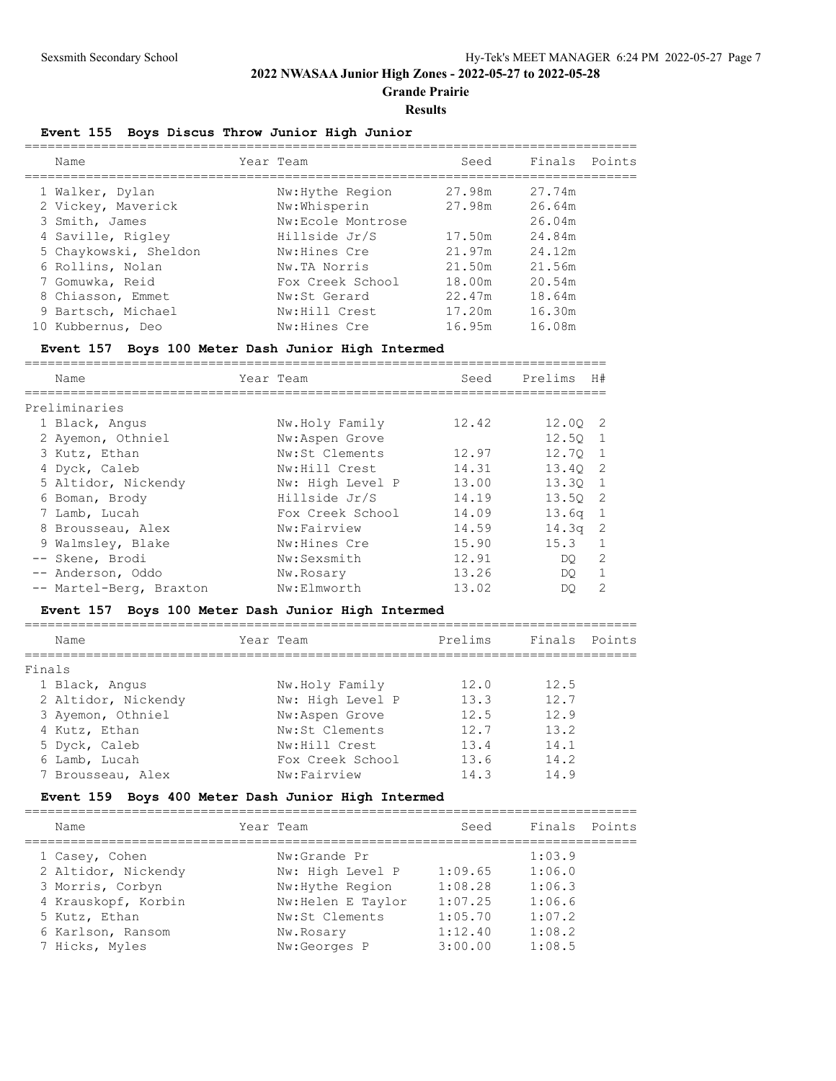**Grande Prairie**

#### **Results**

## **Event 155 Boys Discus Throw Junior High Junior**

|  | Name                  | Year Team         | Seed   | Finals Points |  |
|--|-----------------------|-------------------|--------|---------------|--|
|  | 1 Walker, Dylan       | Nw: Hythe Region  | 27.98m | 27.74m        |  |
|  | 2 Vickey, Maverick    | Nw:Whisperin      | 27.98m | 26.64m        |  |
|  | 3 Smith, James        | Nw:Ecole Montrose |        | 26.04m        |  |
|  | 4 Saville, Rigley     | Hillside Jr/S     | 17.50m | 24.84m        |  |
|  | 5 Chaykowski, Sheldon | Nw:Hines Cre      | 21.97m | 24.12m        |  |
|  | 6 Rollins, Nolan      | Nw.TA Norris      | 21.50m | 21.56m        |  |
|  | 7 Gomuwka, Reid       | Fox Creek School  | 18.00m | 20.54m        |  |
|  | 8 Chiasson, Emmet     | Nw:St Gerard      | 22.47m | 18.64m        |  |
|  | 9 Bartsch, Michael    | Nw:Hill Crest     | 17.20m | 16.30m        |  |
|  | 10 Kubbernus, Deo     | Nw: Hines Cre     | 16.95m | 16.08m        |  |
|  |                       |                   |        |               |  |

### **Event 157 Boys 100 Meter Dash Junior High Intermed**

| Name                    |  | Year Team        | Seed  | Prelims           | H#             |  |  |  |
|-------------------------|--|------------------|-------|-------------------|----------------|--|--|--|
|                         |  |                  |       |                   |                |  |  |  |
| Preliminaries           |  |                  |       |                   |                |  |  |  |
| 1 Black, Angus          |  | Nw.Holy Family   | 12.42 | 12.00 2           |                |  |  |  |
| 2 Ayemon, Othniel       |  | Nw:Aspen Grove   |       | 12.50             |                |  |  |  |
| 3 Kutz, Ethan           |  | Nw:St Clements   | 12.97 | 12.70             | $\overline{1}$ |  |  |  |
| 4 Dyck, Caleb           |  | Nw:Hill Crest    | 14.31 | 13.40             | $\overline{2}$ |  |  |  |
| 5 Altidor, Nickendy     |  | Nw: High Level P | 13.00 | 13.30 1           |                |  |  |  |
| 6 Boman, Brody          |  | Hillside Jr/S    | 14.19 | 13.50 2           |                |  |  |  |
| 7 Lamb, Lucah           |  | Fox Creek School | 14.09 | 13.6 <sub>q</sub> | - 1            |  |  |  |
| 8 Brousseau, Alex       |  | Nw:Fairview      | 14.59 | $14.3q$ 2         |                |  |  |  |
| 9 Walmsley, Blake       |  | Nw: Hines Cre    | 15.90 | 15.3              |                |  |  |  |
| -- Skene, Brodi         |  | Nw:Sexsmith      | 12.91 | DO.               | 2              |  |  |  |
| -- Anderson, Oddo       |  | Nw.Rosary        | 13.26 | DO.               |                |  |  |  |
| -- Martel-Berg, Braxton |  | Nw:Elmworth      | 13.02 | DO.               | 2              |  |  |  |

## **Event 157 Boys 100 Meter Dash Junior High Intermed**

| Name                | Year Team        | Prelims | Finals Points |  |
|---------------------|------------------|---------|---------------|--|
| Finals              |                  |         |               |  |
| 1 Black, Angus      | Nw.Holy Family   | 12.0    | 12.5          |  |
| 2 Altidor, Nickendy | Nw: High Level P | 13.3    | 12.7          |  |
| 3 Ayemon, Othniel   | Nw:Aspen Grove   | 12.5    | 12.9          |  |
| 4 Kutz, Ethan       | Nw:St Clements   | 12.7    | 13.2          |  |
| 5 Dyck, Caleb       | Nw:Hill Crest    | 13.4    | 14.1          |  |
| 6 Lamb, Lucah       | Fox Creek School | 13.6    | 14.2          |  |
| 7 Brousseau, Alex   | Nw:Fairview      | 14.3    | 14.9          |  |
|                     |                  |         |               |  |

## **Event 159 Boys 400 Meter Dash Junior High Intermed**

| Seed<br>Year Team<br>Name<br>1:03.9<br>Nw:Grande Pr<br>1 Casey, Cohen<br>2 Altidor, Nickendy<br>Nw: High Level P<br>1:09.65<br>1:06.0<br>3 Morris, Corbyn<br>1:08.28<br>Nw: Hythe Region<br>1:06.3<br>4 Krauskopf, Korbin<br>1:07.25<br>Nw: Helen E Taylor<br>1:06.6 |               |
|----------------------------------------------------------------------------------------------------------------------------------------------------------------------------------------------------------------------------------------------------------------------|---------------|
|                                                                                                                                                                                                                                                                      | Finals Points |
|                                                                                                                                                                                                                                                                      |               |
|                                                                                                                                                                                                                                                                      |               |
|                                                                                                                                                                                                                                                                      |               |
|                                                                                                                                                                                                                                                                      |               |
| 1:05.70<br>1:07.2<br>Nw:St Clements<br>5 Kutz, Ethan                                                                                                                                                                                                                 |               |
| 1:12.40<br>1:08.2<br>6 Karlson, Ransom<br>Nw.Rosary                                                                                                                                                                                                                  |               |
| 3:00.00<br>1:08.5<br>7 Hicks, Myles<br>Nw:Georges P                                                                                                                                                                                                                  |               |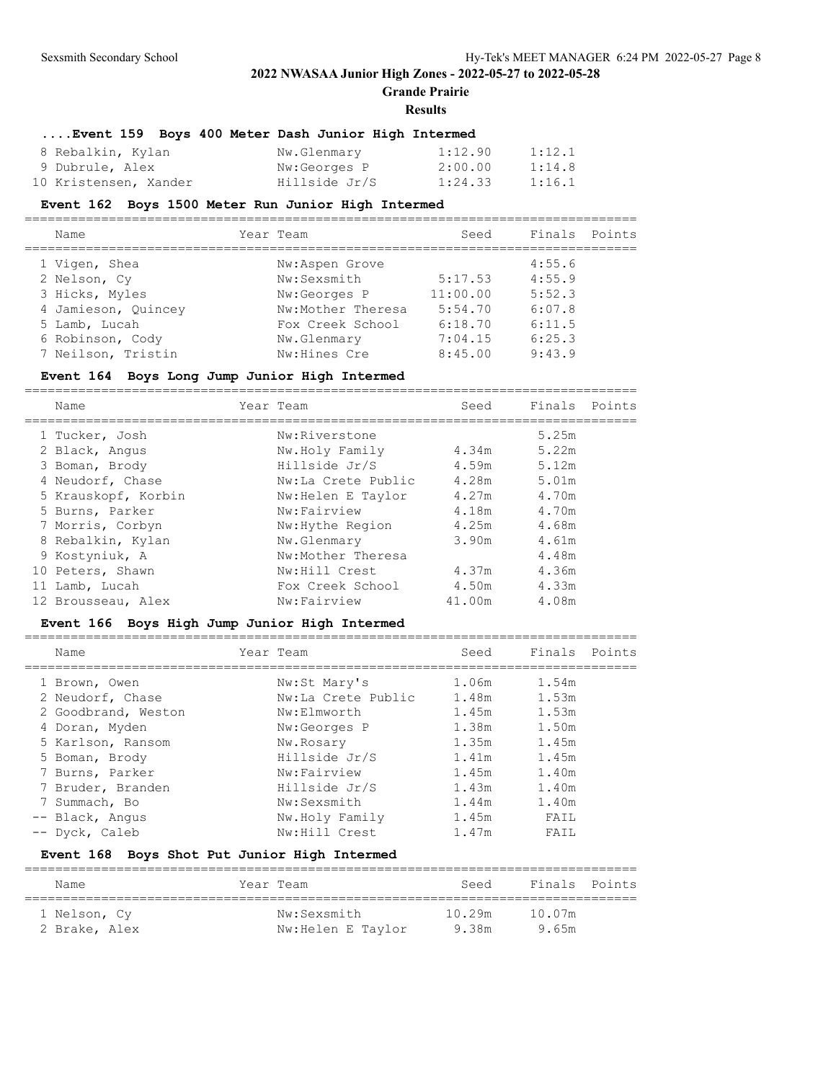**Grande Prairie**

#### **Results**

# **....Event 159 Boys 400 Meter Dash Junior High Intermed**

| 8 Rebalkin, Kylan     | Nw.Glenmary   | 1:12.90 | 1:12.1 |
|-----------------------|---------------|---------|--------|
| 9 Dubrule, Alex       | Nw:Georges P  | 2:00.00 | 1:14.8 |
| 10 Kristensen, Xander | Hillside Jr/S | 1:24.33 | 1:16.1 |

#### **Event 162 Boys 1500 Meter Run Junior High Intermed**

| Name                | Year Team         | Seed     | Finals Points |  |
|---------------------|-------------------|----------|---------------|--|
| 1 Vigen, Shea       | Nw:Aspen Grove    |          | 4:55.6        |  |
| 2 Nelson, Cy        | Nw:Sexsmith       | 5:17.53  | 4:55.9        |  |
| 3 Hicks, Myles      | Nw:Georges P      | 11:00.00 | 5:52.3        |  |
| 4 Jamieson, Quincey | Nw:Mother Theresa | 5:54.70  | 6:07.8        |  |
| 5 Lamb, Lucah       | Fox Creek School  | 6:18.70  | 6:11.5        |  |
| 6 Robinson, Cody    | Nw.Glenmary       | 7:04.15  | 6:25.3        |  |
| 7 Neilson, Tristin  | Nw: Hines Cre     | 8:45.00  | 9:43.9        |  |

#### **Event 164 Boys Long Jump Junior High Intermed**

================================================================================

| Name                | Year Team          | Seed   | Finals Points |  |
|---------------------|--------------------|--------|---------------|--|
| 1 Tucker, Josh      | Nw:Riverstone      |        | 5.25m         |  |
| 2 Black, Angus      | Nw.Holy Family     | 4.34m  | 5.22m         |  |
| 3 Boman, Brody      | Hillside Jr/S      | 4.59m  | 5.12m         |  |
| 4 Neudorf, Chase    | Nw:La Crete Public | 4.28m  | 5.01m         |  |
| 5 Krauskopf, Korbin | Nw: Helen E Taylor | 4.27m  | 4.70m         |  |
| 5 Burns, Parker     | Nw:Fairview        | 4.18m  | 4.70m         |  |
| 7 Morris, Corbyn    | Nw: Hythe Region   | 4.25m  | 4.68m         |  |
| 8 Rebalkin, Kylan   | Nw.Glenmary        | 3.90m  | 4.61m         |  |
| 9 Kostyniuk, A      | Nw:Mother Theresa  |        | 4.48m         |  |
| 10 Peters, Shawn    | Nw:Hill Crest      | 4.37m  | 4.36m         |  |
| 11 Lamb, Lucah      | Fox Creek School   | 4.50m  | 4.33m         |  |
| 12 Brousseau, Alex  | Nw:Fairview        | 41.00m | 4.08m         |  |
|                     |                    |        |               |  |

### **Event 166 Boys High Jump Junior High Intermed**

| Name                | Year Team          | Seed  | Finals | Points |
|---------------------|--------------------|-------|--------|--------|
| 1 Brown, Owen       | Nw:St Mary's       | 1.06m | 1.54m  |        |
| 2 Neudorf, Chase    | Nw:La Crete Public | 1.48m | 1.53m  |        |
| 2 Goodbrand, Weston | Nw:Elmworth        | 1.45m | 1.53m  |        |
| 4 Doran, Myden      | Nw:Georges P       | 1.38m | 1.50m  |        |
| 5 Karlson, Ransom   | Nw.Rosary          | 1.35m | 1.45m  |        |
| 5 Boman, Brody      | Hillside Jr/S      | 1.41m | 1.45m  |        |
| 7 Burns, Parker     | Nw:Fairview        | 1.45m | 1.40m  |        |
| 7 Bruder, Branden   | Hillside Jr/S      | 1.43m | 1.40m  |        |
| 7 Summach, Bo       | Nw:Sexsmith        | 1.44m | 1.40m  |        |
| -- Black, Angus     | Nw.Holy Family     | 1.45m | FAIL   |        |
| -- Dyck, Caleb      | Nw:Hill Crest      | 1.47m | FAIL   |        |
|                     |                    |       |        |        |

# **Event 168 Boys Shot Put Junior High Intermed**

| Name          | Year Team         | Seed   | Finals Points |  |
|---------------|-------------------|--------|---------------|--|
| 1 Nelson, Cy  | Nw:Sexsmith       | 10.29m | 10.07m        |  |
| 2 Brake, Alex | Nw:Helen E Taylor | 9.38m  | 9.65m         |  |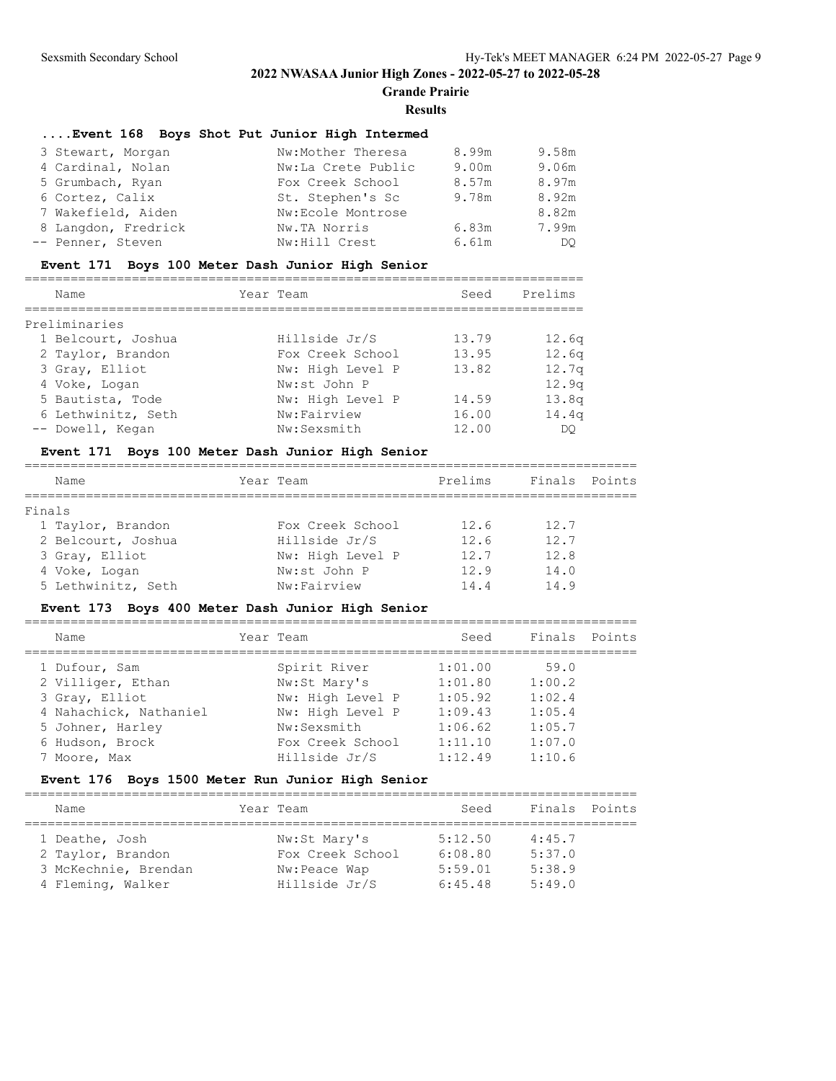**Grande Prairie**

#### **Results**

### **....Event 168 Boys Shot Put Junior High Intermed**

| 3 Stewart, Morgan   | Nw:Mother Theresa  | 8.99m | 9.58m |
|---------------------|--------------------|-------|-------|
| 4 Cardinal, Nolan   | Nw:La Crete Public | 9.00m | 9.06m |
| 5 Grumbach, Ryan    | Fox Creek School   | 8.57m | 8.97m |
| 6 Cortez, Calix     | St. Stephen's Sc   | 9.78m | 8.92m |
| 7 Wakefield, Aiden  | Nw:Ecole Montrose  |       | 8.82m |
| 8 Langdon, Fredrick | Nw.TA Norris       | 6.83m | 7.99m |
| -- Penner, Steven   | Nw:Hill Crest      | 6.61m | DO.   |

#### **Event 171 Boys 100 Meter Dash Junior High Senior**

| Name               | Year Team        | Seed  | Prelims           |
|--------------------|------------------|-------|-------------------|
| Preliminaries      |                  |       |                   |
| 1 Belcourt, Joshua | Hillside Jr/S    | 13.79 | 12.6 <sub>q</sub> |
| 2 Taylor, Brandon  | Fox Creek School | 13.95 | 12.6 <sub>q</sub> |
| 3 Gray, Elliot     | Nw: High Level P | 13.82 | 12.7 <sub>q</sub> |
| 4 Voke, Logan      | Nw:st John P     |       | 12.9q             |
| 5 Bautista, Tode   | Nw: High Level P | 14.59 | 13.8q             |
| 6 Lethwinitz, Seth | Nw:Fairview      | 16.00 | 14.4q             |
| -- Dowell, Kegan   | Nw:Sexsmith      | 12.00 | DO                |

#### **Event 171 Boys 100 Meter Dash Junior High Senior**

| Name               | Year Team        | Prelims | Finals Points |  |
|--------------------|------------------|---------|---------------|--|
| Finals             |                  |         |               |  |
| 1 Taylor, Brandon  | Fox Creek School | 12.6    | 12.7          |  |
| 2 Belcourt, Joshua | Hillside Jr/S    | 12.6    | 12.7          |  |
| 3 Gray, Elliot     | Nw: High Level P | 12.7    | 12.8          |  |
| 4 Voke, Logan      | Nw:st John P     | 12.9    | 14.0          |  |
| 5 Lethwinitz, Seth | Nw:Fairview      | 14.4    | 14.9          |  |
|                    |                  |         |               |  |

#### **Event 173 Boys 400 Meter Dash Junior High Senior**

================================================================================ Name **Seed** Finals Points ================================================================================ 1 Dufour, Sam Spirit River 1:01.00 59.0 2 Villiger, Ethan Nw:St Mary's 1:01.80 1:00.2 3 Gray, Elliot Nw: High Level P 1:05.92 1:02.4 4 Nahachick, Nathaniel Nw: High Level P 1:09.43 1:05.4 5 Johner, Harley Nw:Sexsmith 1:06.62 1:05.7 6 Hudson, Brock Fox Creek School 1:11.10 1:07.0 7 Moore, Max Hillside Jr/S 1:12.49 1:10.6

### **Event 176 Boys 1500 Meter Run Junior High Senior**

| Name                 | Year Team        | Seed    | Finals Points |  |
|----------------------|------------------|---------|---------------|--|
| 1 Deathe, Josh       | Nw:St Mary's     | 5:12.50 | 4:45.7        |  |
| 2 Taylor, Brandon    | Fox Creek School | 6:08.80 | 5:37.0        |  |
| 3 McKechnie, Brendan | Nw:Peace Wap     | 5:59.01 | 5:38.9        |  |
| 4 Fleming, Walker    | Hillside Jr/S    | 6:45.48 | 5:49.0        |  |

================================================================================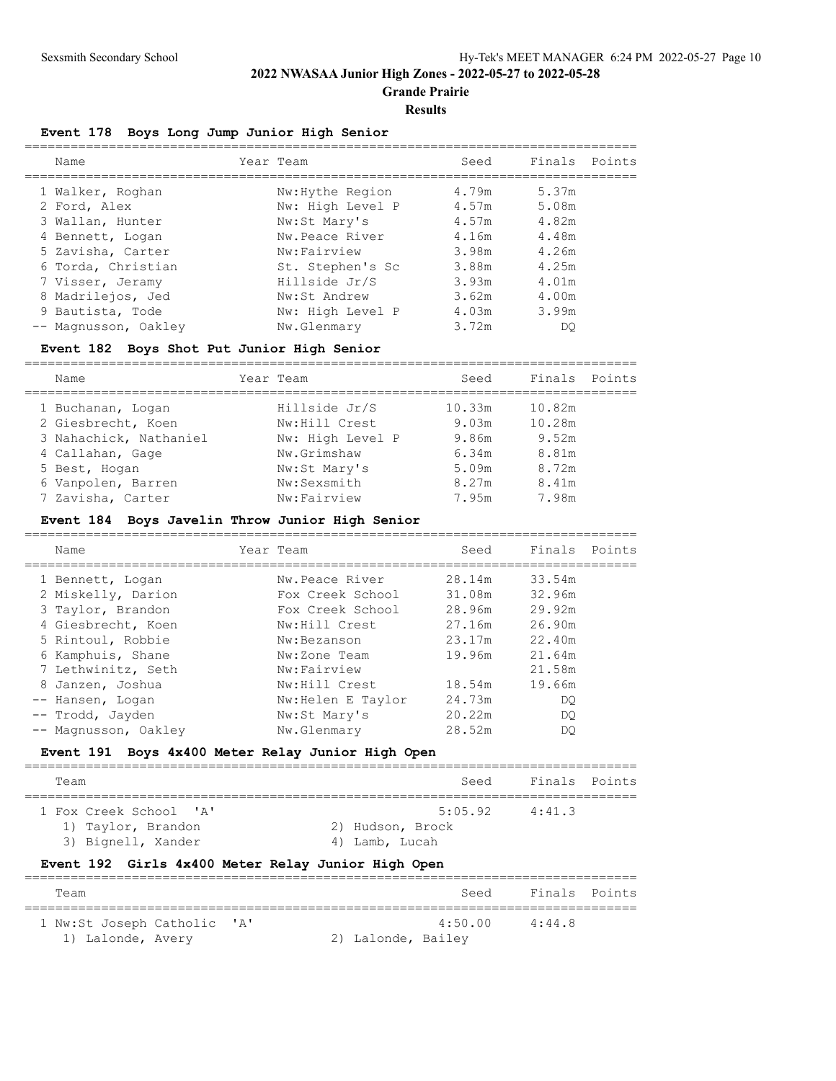**Grande Prairie**

#### **Results**

## **Event 178 Boys Long Jump Junior High Senior**

| Name                 | Year Team        | Seed  | Finals Points |  |
|----------------------|------------------|-------|---------------|--|
| 1 Walker, Roghan     | Nw: Hythe Region | 4.79m | 5.37m         |  |
| 2 Ford, Alex         | Nw: High Level P | 4.57m | 5.08m         |  |
| 3 Wallan, Hunter     | Nw:St Mary's     | 4.57m | 4.82m         |  |
| 4 Bennett, Logan     | Nw.Peace River   | 4.16m | 4.48m         |  |
| 5 Zavisha, Carter    | Nw:Fairview      | 3.98m | 4.26m         |  |
| 6 Torda, Christian   | St. Stephen's Sc | 3.88m | 4.25m         |  |
| 7 Visser, Jeramy     | Hillside Jr/S    | 3.93m | 4.01m         |  |
| 8 Madrilejos, Jed    | Nw:St Andrew     | 3.62m | 4.00m         |  |
| 9 Bautista, Tode     | Nw: High Level P | 4.03m | 3.99m         |  |
| -- Magnusson, Oakley | Nw.Glenmary      | 3.72m | DO            |  |
|                      |                  |       |               |  |

### **Event 182 Boys Shot Put Junior High Senior**

| Name                   | Year Team        | Seed   | Finals | Points |
|------------------------|------------------|--------|--------|--------|
| 1 Buchanan, Logan      | Hillside Jr/S    | 10.33m | 10.82m |        |
| 2 Giesbrecht, Koen     | Nw:Hill Crest    | 9.03m  | 10.28m |        |
| 3 Nahachick, Nathaniel | Nw: High Level P | 9.86m  | 9.52m  |        |
| 4 Callahan, Gage       | Nw.Grimshaw      | 6.34m  | 8.81m  |        |
| 5 Best, Hogan          | Nw:St Mary's     | 5.09m  | 8.72m  |        |
| 6 Vanpolen, Barren     | Nw:Sexsmith      | 8.27m  | 8.41m  |        |
| 7 Zavisha, Carter      | Nw:Fairview      | 7.95m  | 7.98m  |        |
|                        |                  |        |        |        |

## **Event 184 Boys Javelin Throw Junior High Senior**

| Name                 | Year Team         | Seed   | Finals | Points |
|----------------------|-------------------|--------|--------|--------|
| 1 Bennett, Logan     | Nw.Peace River    | 28.14m | 33.54m |        |
| 2 Miskelly, Darion   | Fox Creek School  | 31.08m | 32.96m |        |
| 3 Taylor, Brandon    | Fox Creek School  | 28.96m | 29.92m |        |
| 4 Giesbrecht, Koen   | Nw:Hill Crest     | 27.16m | 26.90m |        |
| 5 Rintoul, Robbie    | Nw:Bezanson       | 23.17m | 22.40m |        |
| 6 Kamphuis, Shane    | Nw:Zone Team      | 19.96m | 21.64m |        |
| 7 Lethwinitz, Seth   | Nw:Fairview       |        | 21.58m |        |
| 8 Janzen, Joshua     | Nw:Hill Crest     | 18.54m | 19.66m |        |
| -- Hansen, Logan     | Nw:Helen E Taylor | 24.73m | DO     |        |
| -- Trodd, Jayden     | Nw:St Mary's      | 20.22m | DO     |        |
| -- Magnusson, Oakley | Nw.Glenmary       | 28.52m | DO     |        |

### **Event 191 Boys 4x400 Meter Relay Junior High Open**

| Team                                                               | Seed                                          | Finals Points |  |
|--------------------------------------------------------------------|-----------------------------------------------|---------------|--|
| 1 Fox Creek School 'A'<br>1) Taylor, Brandon<br>3) Bignell, Xander | 5:05.92<br>2) Hudson, Brock<br>4) Lamb, Lucah | 4:41.3        |  |

# **Event 192 Girls 4x400 Meter Relay Junior High Open**

| Team                        |                    | Seed    | Finals Points |  |
|-----------------------------|--------------------|---------|---------------|--|
| 1 Nw:St Joseph Catholic 'A' |                    | 4:50.00 | 4:44.8        |  |
| 1) Lalonde, Avery           | 2) Lalonde, Bailey |         |               |  |